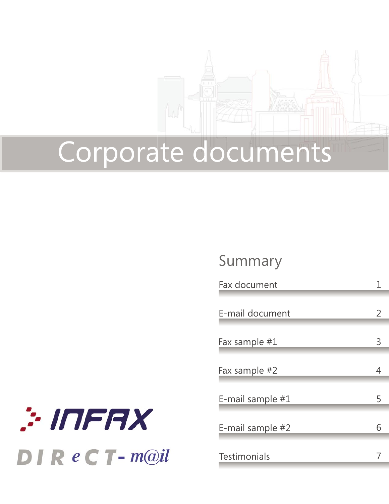

# Corporate documents

## Summary

| Fax document     |   |
|------------------|---|
| E-mail document  | Z |
| Fax sample #1    | 3 |
| Fax sample #2    | 4 |
| E-mail sample #1 | 5 |
| E-mail sample #2 | 6 |
| Testimonials     |   |

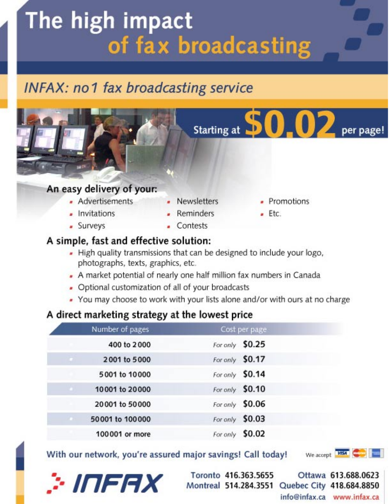# The high impact of fax broadcasting

# **INFAX: no1 fax broadcasting service**



#### A simple, fast and effective solution:

- . High quality transmissions that can be designed to include your logo, photographs, texts, graphics, etc.
- A market potential of nearly one half million fax numbers in Canada
- Optional customization of all of your broadcasts
- . You may choose to work with your lists alone and/or with ours at no charge

#### A direct marketing strategy at the lowest price

| Number of pages           | Cost per page   |
|---------------------------|-----------------|
| 400 to 2000               | For only \$0.25 |
| 2001 to 5000              | For only \$0.17 |
| 5001 to 10000             | For only \$0.14 |
| 10001 to 20000<br>$\sim$  | For only \$0.10 |
| 20001 to 50000            | For only \$0.06 |
| $\sim$<br>50001 to 100000 | For only \$0.03 |
| 100001 or more            | For only \$0.02 |

#### With our network, you're assured major savings! Call today!

We accept **WSA** 



Toronto 416.363.5655 Ottawa 613.688.0623 Montreal 514.284.3551 Quebec City 418.684.8850 info@infax.ca www.infax.ca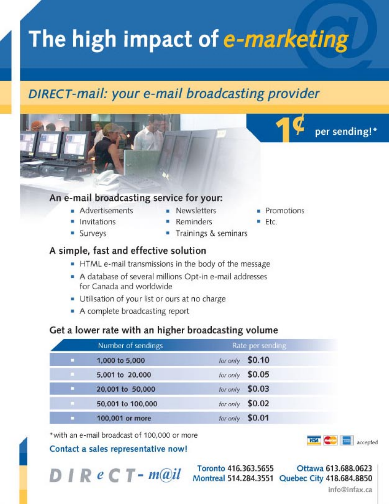# The high impact of e-marketing

## DIRECT-mail: your e-mail broadcasting provider



#### An e-mail broadcasting service for your:

- Advertisements
- Invitations Surveys
- Newsletters Reminders
- **Promotions**
- Ftc
- Trainings & seminars

#### A simple, fast and effective solution

- HTML e-mail transmissions in the body of the message
- A database of several millions Opt-in e-mail addresses for Canada and worldwide
- Utilisation of your list or ours at no charge
- A complete broadcasting report

#### Get a lower rate with an higher broadcasting volume

|                | Number of sendings | Rate per sending |  |
|----------------|--------------------|------------------|--|
| ×.             | 1,000 to 5,000     | for only \$0.10  |  |
| $\blacksquare$ | 5,001 to 20,000    | for only \$0.05  |  |
| ٠              | 20,001 to 50,000   | for only \$0.03  |  |
| $\blacksquare$ | 50,001 to 100,000  | for only \$0.02  |  |
| ۰              | 100,001 or more    | for only \$0.01  |  |

\*with an e-mail broadcast of 100,000 or more

#### Contact a sales representative now!



 $D \mid R \in \mathbb{C}$  T - mail

Toronto 416.363.5655

Ottawa 613.688.0623 Montreal 514.284.3551 Quebec City 418.684.8850

info@infax.ca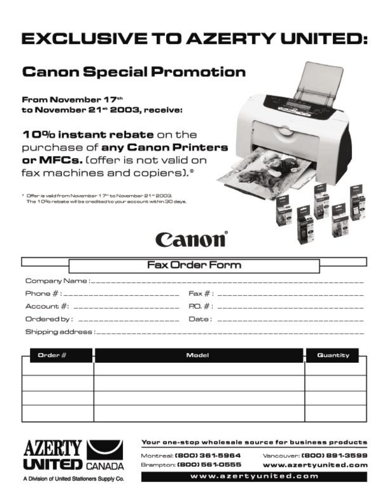# **EXCLUSIVE TO AZERTY UNITED:**

## **Canon Special Promotion**

From November 17th to November 21" 2003, receive:

10% instant rebate on the purchase of any Canon Printers or MFCs. (offer is not valid on fax machines and copiers).\*

\* Offer is vald from November 17" to November 21" 2003. The 10% rebate wil be credited to your account within 30 days.



#### **Fax Order Form**

| Phone #:___________________________ |       |
|-------------------------------------|-------|
|                                     |       |
| Ordered by: _____________________   | Date: |
| Shipping address:                   |       |

| Order $#$ | Model | <b>Quantity</b> |
|-----------|-------|-----------------|
|           |       |                 |
|           |       |                 |
|           |       |                 |
|           |       |                 |



#### Your one-stop wholesale source for business products

Montreal: (800) 361-5964 Brampton: (800) 561-0555 Vancouver: (800) 891-3599 www.azertyunited.com

www.azertyunited.com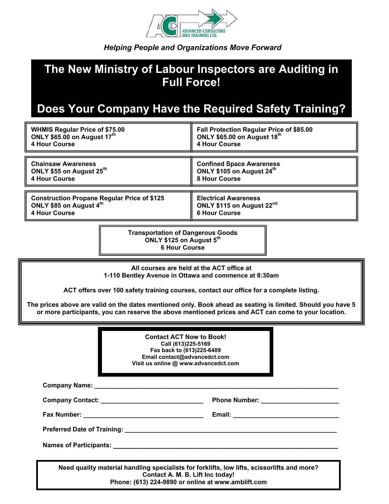

#### *Helping People and Organizations Move Forward*

#### **The New Ministry of Labour Inspectors are Auditing in Full Force!**

### **Does Your Company Have the Required Safety Training?**

| <b>WHMIS Regular Price of \$75.00</b>              | Fall Protection Regular Price of \$85.00 |
|----------------------------------------------------|------------------------------------------|
| ONLY \$65.00 on August 17th                        | ONLY \$65.00 on August 18th              |
| <b>4 Hour Course</b>                               | <b>4 Hour Course</b>                     |
| <b>Chainsaw Awareness</b>                          | <b>Confined Space Awareness</b>          |
| ONLY \$55 on August 25 <sup>th</sup>               | ONLY \$105 on August 24th                |
| <b>4 Hour Course</b>                               | <b>8 Hour Course</b>                     |
| <b>Construction Propane Regular Price of \$125</b> | <b>Electrical Awareness</b>              |
| ONLY \$85 on August 4th                            | ONLY \$115 on August 22 <sup>nd</sup>    |
| <b>4 Hour Course</b>                               | <b>6 Hour Course</b>                     |

**Transportation of Dangerous Goods ONLY \$125 on August 5th 6 Hour Course** 

| All courses are held at the ACT office at<br>1-110 Bentley Avenue in Ottawa and commence at 8:30am                                                                                                                             |  |  |
|--------------------------------------------------------------------------------------------------------------------------------------------------------------------------------------------------------------------------------|--|--|
| ACT offers over 100 safety training courses, contact our office for a complete listing.                                                                                                                                        |  |  |
| The prices above are valid on the dates mentioned only. Book ahead as seating is limited. Should you have 5<br>or more participants, you can reserve the above mentioned prices and ACT can come to your location.             |  |  |
| <b>Contact ACT Now to Book!</b><br>Call (613)225-5169<br>Fax back to (613)225-6409<br>Email contact@advancedct.com<br>Visit us online @ www.advancedct.com                                                                     |  |  |
| Company Name: Name and Second Company Name and Second Company Name and Second Company Name and Second Company of the Second Company of the Second Company of the Second Company of the Second Company of the Second Company of |  |  |
|                                                                                                                                                                                                                                |  |  |
|                                                                                                                                                                                                                                |  |  |
|                                                                                                                                                                                                                                |  |  |
|                                                                                                                                                                                                                                |  |  |
| Need quality material handling specialists for forklifts, low lifts, scissorlifts and more?<br>Contact A. M. B. Lift Inc today!<br>Phone: (613) 224-9890 or online at www.amblift.com                                          |  |  |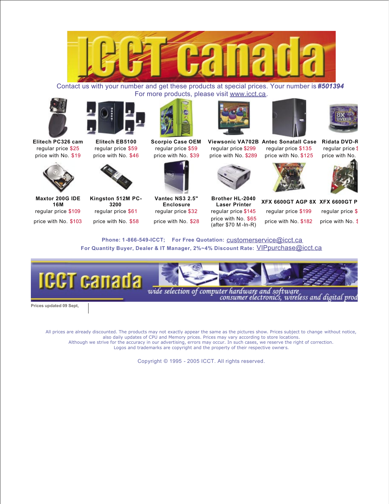

Contact us with your number and get these products at special prices. Your number is *#501394* For more products, please visit www.icct.ca.







**Maxtor 200G IDE 16M** price with No. \$103 price with No. \$58 price with No. \$28 price with No. \$65



regular price \$25 regular price \$59 regular price \$59 regular price \$299 regular price \$135 regular price \$ price with No. \$19 price with No. \$46 price with No. \$39 price with No. \$289 price with No. \$125 price with No.



**Kingston 512M PC-3200**





**Vantec NS3 2.5" Enclosure**







**Elitech PC326 cam Elitech EB5100 Scorpio Case OEM Viewsonic VA702B Antec SonataII Case Ridata DVD-R**



**Brother HL-2040** price with No. \$05<br>(after \$70 M -In-R) price with No. \$182 price with No. \$



**Laser Printer XFX 6600GT AGP 8X XFX 6600GT P** regular price \$109 regular price \$61 regular price \$32 regular price \$145 regular price \$199 regular price \$

Phone: 1-866-549-ICCT; For Free Quotation: **CUSTOMERSERVICE**@icct.ca **For Quantity Buyer, Dealer & IT Manager, 2%~4% Discount Rate:** VIPpurchase@icct.ca



consumer electronics, wireless and digital prod

**Prices updated 09 Sept,**

All prices are already discounted. The products may not exactly appear the same as the pictures show. Prices subject to change without notice, also daily updates of CPU and Memory prices. Prices may vary according to store locations. Although we strive for the accuracy in our advertising, errors may occur. In such cases, we reserve the right of correction. Logos and trademarks are copyright and the property of their respective owners.

Copyright © 1995 - 2005 ICCT. All rights reserved.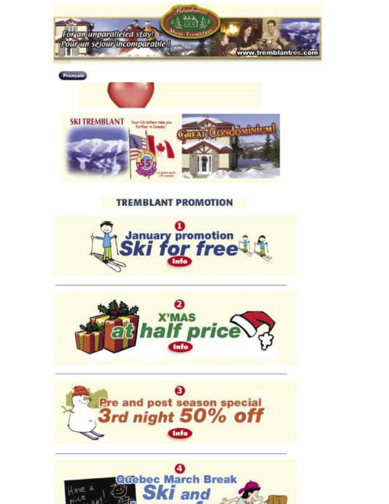



**TREMBLANT PROMOTION** 







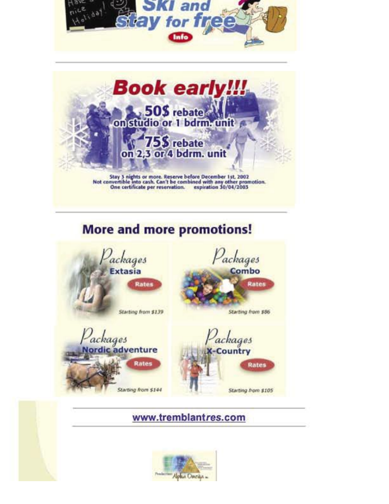

www.tremblantres.com

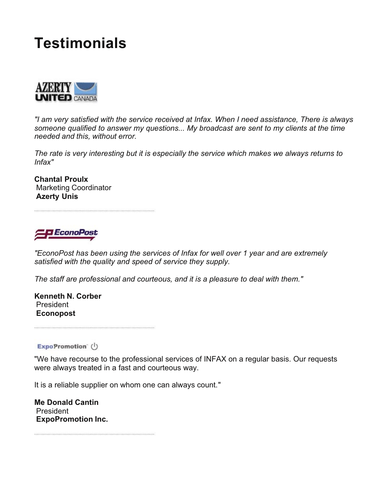# **Testimonials**



*"I am very satisfied with the service received at Infax. When I need assistance, There is always someone qualified to answer my questions... My broadcast are sent to my clients at the time needed and this, without error.*

*The rate is very interesting but it is especially the service which makes we always returns to Infax"*

**Chantal Proulx** Marketing Coordinator **Azerty Unis**

**EconoPost** 

*"EconoPost has been using the services of Infax for well over 1 year and are extremely satisfied with the quality and speed of service they supply.*

*The staff are professional and courteous, and it is a pleasure to deal with them."*

**Kenneth N. Corber** President **Econopost**

ExpoPromotion (1)

"We have recourse to the professional services of INFAX on a regular basis. Our requests were always treated in a fast and courteous way.

It is a reliable supplier on whom one can always count."

**Me Donald Cantin** President **ExpoPromotion Inc.**